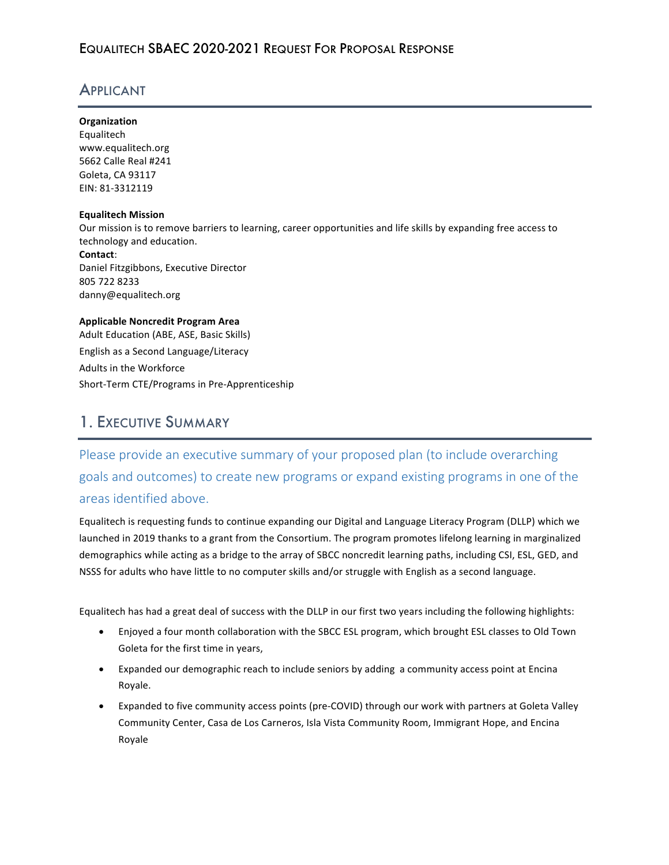### APPLICANT

#### **Organization**

Equalitech www.equalitech.org 5662 Calle Real #241 Goleta, CA 93117 EIN: 81-3312119

#### **Equalitech Mission**

Our mission is to remove barriers to learning, career opportunities and life skills by expanding free access to technology and education. **Contact**: Daniel Fitzgibbons, Executive Director 805 722 8233 danny@equalitech.org

#### **Applicable Noncredit Program Area** Adult Education (ABE, ASE, Basic Skills)

English as a Second Language/Literacy Adults in the Workforce Short-Term CTE/Programs in Pre-Apprenticeship

## 1. EXECUTIVE SUMMARY

# Please provide an executive summary of your proposed plan (to include overarching goals and outcomes) to create new programs or expand existing programs in one of the areas identified above.

Equalitech is requesting funds to continue expanding our Digital and Language Literacy Program (DLLP) which we launched in 2019 thanks to a grant from the Consortium. The program promotes lifelong learning in marginalized demographics while acting as a bridge to the array of SBCC noncredit learning paths, including CSI, ESL, GED, and NSSS for adults who have little to no computer skills and/or struggle with English as a second language.

Equalitech has had a great deal of success with the DLLP in our first two years including the following highlights:

- Enjoyed a four month collaboration with the SBCC ESL program, which brought ESL classes to Old Town Goleta for the first time in years,
- Expanded our demographic reach to include seniors by adding a community access point at Encina Royale.
- Expanded to five community access points (pre-COVID) through our work with partners at Goleta Valley Community Center, Casa de Los Carneros, Isla Vista Community Room, Immigrant Hope, and Encina Royale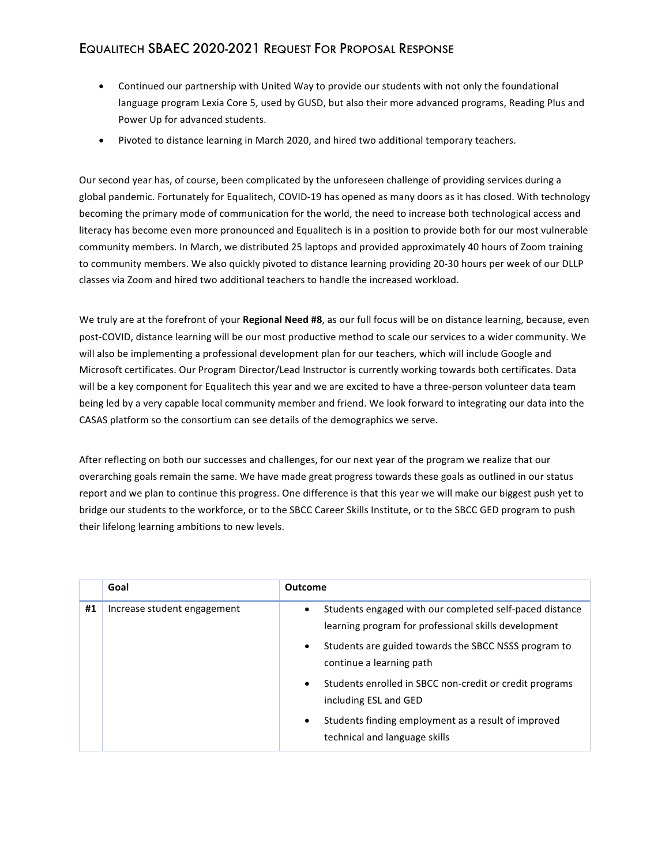- Continued our partnership with United Way to provide our students with not only the foundational language program Lexia Core 5, used by GUSD, but also their more advanced programs, Reading Plus and Power Up for advanced students.
- Pivoted to distance learning in March 2020, and hired two additional temporary teachers.

Our second year has, of course, been complicated by the unforeseen challenge of providing services during a global pandemic. Fortunately for Equalitech, COVID-19 has opened as many doors as it has closed. With technology becoming the primary mode of communication for the world, the need to increase both technological access and literacy has become even more pronounced and Equalitech is in a position to provide both for our most vulnerable community members. In March, we distributed 25 laptops and provided approximately 40 hours of Zoom training to community members. We also quickly pivoted to distance learning providing 20-30 hours per week of our DLLP classes via Zoom and hired two additional teachers to handle the increased workload.

We truly are at the forefront of your Regional Need #8, as our full focus will be on distance learning, because, even post-COVID, distance learning will be our most productive method to scale our services to a wider community. We will also be implementing a professional development plan for our teachers, which will include Google and Microsoft certificates. Our Program Director/Lead Instructor is currently working towards both certificates. Data will be a key component for Equalitech this year and we are excited to have a three-person volunteer data team being led by a very capable local community member and friend. We look forward to integrating our data into the CASAS platform so the consortium can see details of the demographics we serve.

After reflecting on both our successes and challenges, for our next year of the program we realize that our overarching goals remain the same. We have made great progress towards these goals as outlined in our status report and we plan to continue this progress. One difference is that this year we will make our biggest push yet to bridge our students to the workforce, or to the SBCC Career Skills Institute, or to the SBCC GED program to push their lifelong learning ambitions to new levels.

|    | Goal                        | <b>Outcome</b>                                                                                                                                                                                                                                                                                                                                                                                                                      |
|----|-----------------------------|-------------------------------------------------------------------------------------------------------------------------------------------------------------------------------------------------------------------------------------------------------------------------------------------------------------------------------------------------------------------------------------------------------------------------------------|
| #1 | Increase student engagement | Students engaged with our completed self-paced distance<br>$\bullet$<br>learning program for professional skills development<br>Students are guided towards the SBCC NSSS program to<br>$\bullet$<br>continue a learning path<br>Students enrolled in SBCC non-credit or credit programs<br>$\bullet$<br>including ESL and GED<br>Students finding employment as a result of improved<br>$\bullet$<br>technical and language skills |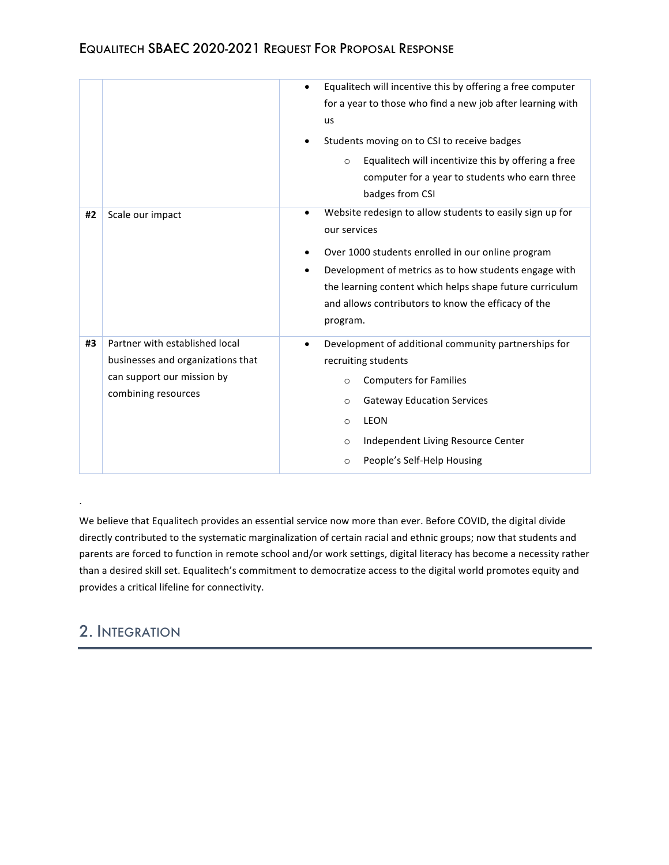|    |                                                                                                                          | Equalitech will incentive this by offering a free computer<br>for a year to those who find a new job after learning with<br>us<br>Students moving on to CSI to receive badges<br>Equalitech will incentivize this by offering a free<br>$\circ$<br>computer for a year to students who earn three<br>badges from CSI       |
|----|--------------------------------------------------------------------------------------------------------------------------|----------------------------------------------------------------------------------------------------------------------------------------------------------------------------------------------------------------------------------------------------------------------------------------------------------------------------|
| #2 | Scale our impact                                                                                                         | Website redesign to allow students to easily sign up for<br>٠<br>our services<br>Over 1000 students enrolled in our online program<br>Development of metrics as to how students engage with<br>the learning content which helps shape future curriculum<br>and allows contributors to know the efficacy of the<br>program. |
| #3 | Partner with established local<br>businesses and organizations that<br>can support our mission by<br>combining resources | Development of additional community partnerships for<br>$\bullet$<br>recruiting students<br><b>Computers for Families</b><br>$\circ$<br><b>Gateway Education Services</b><br>$\circ$<br><b>LEON</b><br>$\circ$<br>Independent Living Resource Center<br>$\circ$<br>People's Self-Help Housing<br>O                         |

We believe that Equalitech provides an essential service now more than ever. Before COVID, the digital divide directly contributed to the systematic marginalization of certain racial and ethnic groups; now that students and parents are forced to function in remote school and/or work settings, digital literacy has become a necessity rather than a desired skill set. Equalitech's commitment to democratize access to the digital world promotes equity and provides a critical lifeline for connectivity.

# 2. INTEGRATION

.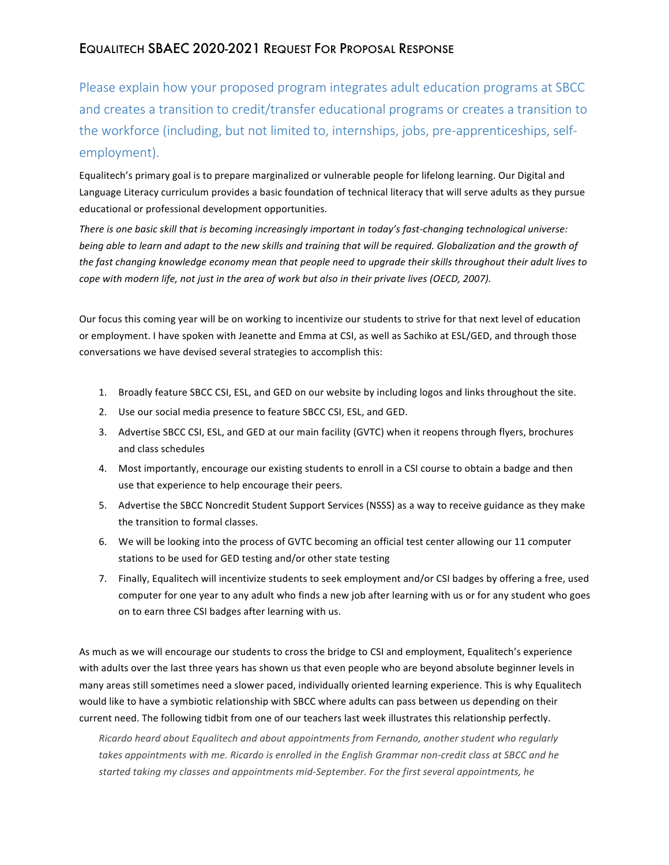Please explain how your proposed program integrates adult education programs at SBCC and creates a transition to credit/transfer educational programs or creates a transition to the workforce (including, but not limited to, internships, jobs, pre-apprenticeships, selfemployment). 

Equalitech's primary goal is to prepare marginalized or vulnerable people for lifelong learning. Our Digital and Language Literacy curriculum provides a basic foundation of technical literacy that will serve adults as they pursue educational or professional development opportunities.

There is one basic skill that is becoming increasingly important in today's fast-changing technological universe: *being* able to learn and adapt to the new skills and training that will be required. Globalization and the growth of the fast changing knowledge economy mean that people need to upgrade their skills throughout their adult lives to cope with modern life, not just in the area of work but also in their private lives (OECD, 2007).

Our focus this coming year will be on working to incentivize our students to strive for that next level of education or employment. I have spoken with Jeanette and Emma at CSI, as well as Sachiko at ESL/GED, and through those conversations we have devised several strategies to accomplish this:

- 1. Broadly feature SBCC CSI, ESL, and GED on our website by including logos and links throughout the site.
- 2. Use our social media presence to feature SBCC CSI, ESL, and GED.
- 3. Advertise SBCC CSI, ESL, and GED at our main facility (GVTC) when it reopens through flyers, brochures and class schedules
- 4. Most importantly, encourage our existing students to enroll in a CSI course to obtain a badge and then use that experience to help encourage their peers.
- 5. Advertise the SBCC Noncredit Student Support Services (NSSS) as a way to receive guidance as they make the transition to formal classes.
- 6. We will be looking into the process of GVTC becoming an official test center allowing our 11 computer stations to be used for GED testing and/or other state testing
- 7. Finally, Equalitech will incentivize students to seek employment and/or CSI badges by offering a free, used computer for one year to any adult who finds a new job after learning with us or for any student who goes on to earn three CSI badges after learning with us.

As much as we will encourage our students to cross the bridge to CSI and employment, Equalitech's experience with adults over the last three years has shown us that even people who are beyond absolute beginner levels in many areas still sometimes need a slower paced, individually oriented learning experience. This is why Equalitech would like to have a symbiotic relationship with SBCC where adults can pass between us depending on their current need. The following tidbit from one of our teachers last week illustrates this relationship perfectly.

Ricardo heard about Equalitech and about appointments from Fernando, another student who regularly takes appointments with me. Ricardo is enrolled in the English Grammar non-credit class at SBCC and he started taking my classes and appointments mid-September. For the first several appointments, he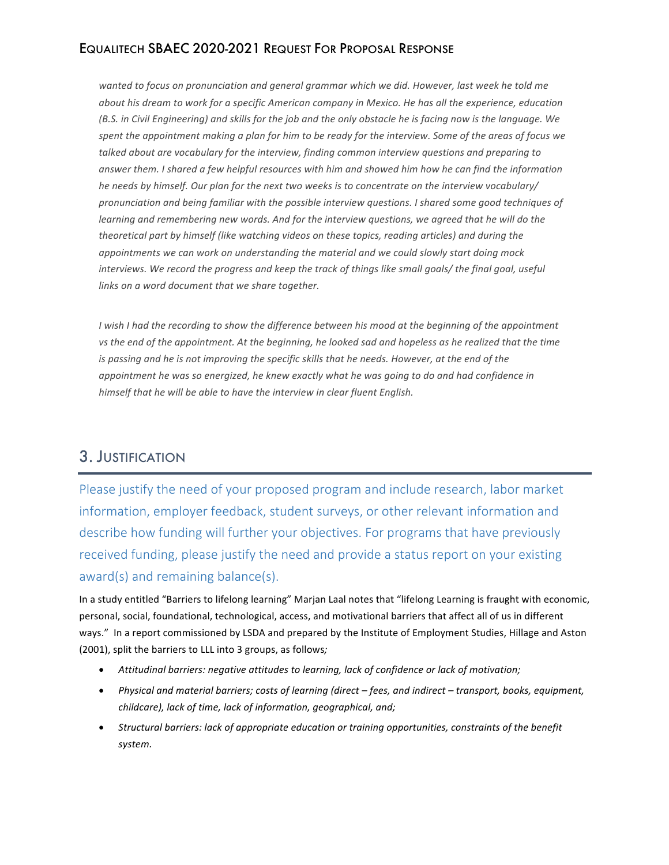wanted to focus on pronunciation and general grammar which we did. However, last week he told me about his dream to work for a specific American company in Mexico. He has all the experience, education *(B.S. in Civil Engineering)* and skills for the job and the only obstacle he is facing now is the language. We spent the appointment making a plan for him to be ready for the interview. Some of the areas of focus we talked about are vocabulary for the interview, finding common interview questions and preparing to answer them. I shared a few helpful resources with him and showed him how he can find the information *he needs by himself. Our plan for the next two weeks is to concentrate on the interview vocabulary/* pronunciation and being familiar with the possible interview questions. I shared some good techniques of *learning* and remembering new words. And for the interview questions, we agreed that he will do the *theoretical part by himself (like watching videos on these topics, reading articles)* and during the appointments we can work on understanding the material and we could slowly start doing mock interviews. We record the progress and keep the track of things like small goals/ the final goal, useful *links* on a word document that we share together.

*I* wish *I* had the recording to show the difference between his mood at the beginning of the appointment *vs* the end of the appointment. At the beginning, he looked sad and hopeless as he realized that the time is passing and he is not improving the specific skills that he needs. However, at the end of the appointment he was so energized, he knew exactly what he was going to do and had confidence in *himself* that he will be able to have the interview in clear fluent English.

### 3. JUSTIFICATION

Please justify the need of your proposed program and include research, labor market information, employer feedback, student surveys, or other relevant information and describe how funding will further your objectives. For programs that have previously received funding, please justify the need and provide a status report on your existing  $award(s)$  and remaining balance $(s)$ .

In a study entitled "Barriers to lifelong learning" Marjan Laal notes that "lifelong Learning is fraught with economic, personal, social, foundational, technological, access, and motivational barriers that affect all of us in different ways." In a report commissioned by LSDA and prepared by the Institute of Employment Studies, Hillage and Aston (2001), split the barriers to LLL into 3 groups, as follows;

- Attitudinal barriers: negative attitudes to learning, lack of confidence or lack of motivation;
- Physical and material barriers; costs of learning (direct fees, and indirect transport, books, equipment, childcare), lack of time, lack of information, geographical, and;
- Structural barriers: lack of appropriate education or training opportunities, constraints of the benefit *system.*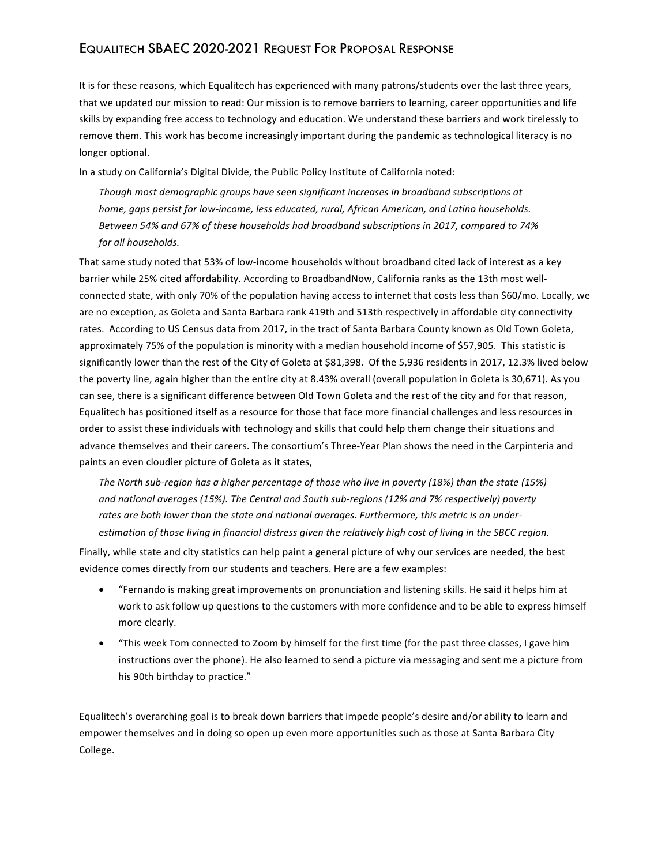It is for these reasons, which Equalitech has experienced with many patrons/students over the last three years, that we updated our mission to read: Our mission is to remove barriers to learning, career opportunities and life skills by expanding free access to technology and education. We understand these barriers and work tirelessly to remove them. This work has become increasingly important during the pandemic as technological literacy is no longer optional.

In a study on California's Digital Divide, the Public Policy Institute of California noted:

Though most demographic groups have seen significant increases in broadband subscriptions at home, gaps persist for low-income, less educated, rural, African American, and Latino households. Between 54% and 67% of these households had broadband subscriptions in 2017, compared to 74% *for all households.*

That same study noted that 53% of low-income households without broadband cited lack of interest as a key barrier while 25% cited affordability. According to BroadbandNow, California ranks as the 13th most wellconnected state, with only 70% of the population having access to internet that costs less than \$60/mo. Locally, we are no exception, as Goleta and Santa Barbara rank 419th and 513th respectively in affordable city connectivity rates. According to US Census data from 2017, in the tract of Santa Barbara County known as Old Town Goleta, approximately 75% of the population is minority with a median household income of \$57,905. This statistic is significantly lower than the rest of the City of Goleta at \$81,398. Of the 5,936 residents in 2017, 12.3% lived below the poverty line, again higher than the entire city at 8.43% overall (overall population in Goleta is 30,671). As you can see, there is a significant difference between Old Town Goleta and the rest of the city and for that reason, Equalitech has positioned itself as a resource for those that face more financial challenges and less resources in order to assist these individuals with technology and skills that could help them change their situations and advance themselves and their careers. The consortium's Three-Year Plan shows the need in the Carpinteria and paints an even cloudier picture of Goleta as it states,

The North sub-region has a higher percentage of those who live in poverty (18%) than the state (15%) and national averages (15%). The Central and South sub-regions (12% and 7% respectively) poverty rates are both lower than the state and national averages. Furthermore, this metric is an underestimation of those living in financial distress given the relatively high cost of living in the SBCC region.

Finally, while state and city statistics can help paint a general picture of why our services are needed, the best evidence comes directly from our students and teachers. Here are a few examples:

- "Fernando is making great improvements on pronunciation and listening skills. He said it helps him at work to ask follow up questions to the customers with more confidence and to be able to express himself more clearly.
- "This week Tom connected to Zoom by himself for the first time (for the past three classes, I gave him instructions over the phone). He also learned to send a picture via messaging and sent me a picture from his 90th birthday to practice."

Equalitech's overarching goal is to break down barriers that impede people's desire and/or ability to learn and empower themselves and in doing so open up even more opportunities such as those at Santa Barbara City College.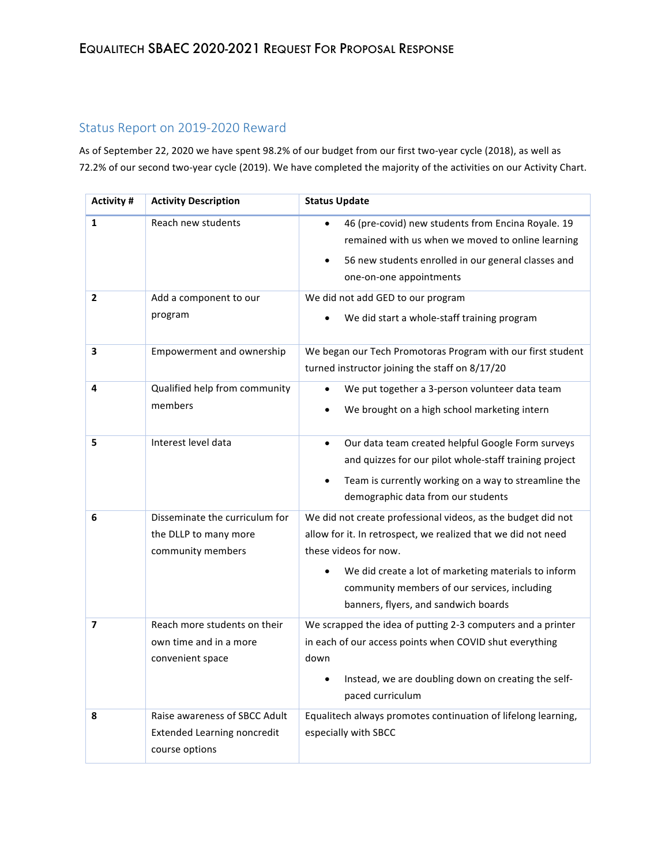#### Status Report on 2019-2020 Reward

As of September 22, 2020 we have spent 98.2% of our budget from our first two-year cycle (2018), as well as 72.2% of our second two-year cycle (2019). We have completed the majority of the activities on our Activity Chart.

| Activity #               | <b>Activity Description</b>                                                           | <b>Status Update</b>                                                                                                                                                                                                                                                                                   |
|--------------------------|---------------------------------------------------------------------------------------|--------------------------------------------------------------------------------------------------------------------------------------------------------------------------------------------------------------------------------------------------------------------------------------------------------|
| $\mathbf{1}$             | Reach new students                                                                    | 46 (pre-covid) new students from Encina Royale. 19<br>$\bullet$<br>remained with us when we moved to online learning<br>56 new students enrolled in our general classes and<br>one-on-one appointments                                                                                                 |
| $\overline{2}$           | Add a component to our<br>program                                                     | We did not add GED to our program<br>We did start a whole-staff training program                                                                                                                                                                                                                       |
| 3                        | Empowerment and ownership                                                             | We began our Tech Promotoras Program with our first student<br>turned instructor joining the staff on 8/17/20                                                                                                                                                                                          |
| 4                        | Qualified help from community<br>members                                              | We put together a 3-person volunteer data team<br>We brought on a high school marketing intern                                                                                                                                                                                                         |
| 5                        | Interest level data                                                                   | Our data team created helpful Google Form surveys<br>$\bullet$<br>and quizzes for our pilot whole-staff training project<br>Team is currently working on a way to streamline the<br>demographic data from our students                                                                                 |
| 6                        | Disseminate the curriculum for<br>the DLLP to many more<br>community members          | We did not create professional videos, as the budget did not<br>allow for it. In retrospect, we realized that we did not need<br>these videos for now.<br>We did create a lot of marketing materials to inform<br>community members of our services, including<br>banners, flyers, and sandwich boards |
| $\overline{\phantom{a}}$ | Reach more students on their<br>own time and in a more<br>convenient space            | We scrapped the idea of putting 2-3 computers and a printer<br>in each of our access points when COVID shut everything<br>down<br>Instead, we are doubling down on creating the self-<br>paced curriculum                                                                                              |
| 8                        | Raise awareness of SBCC Adult<br><b>Extended Learning noncredit</b><br>course options | Equalitech always promotes continuation of lifelong learning,<br>especially with SBCC                                                                                                                                                                                                                  |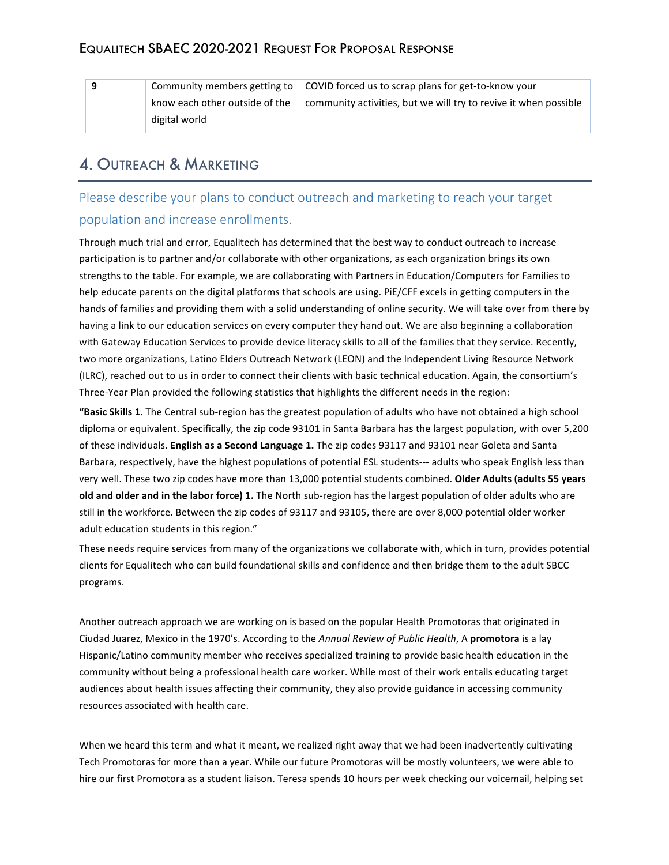|  | Community members getting to $\parallel$ | COVID forced us to scrap plans for get-to-know your              |  |  |
|--|------------------------------------------|------------------------------------------------------------------|--|--|
|  | know each other outside of the           | community activities, but we will try to revive it when possible |  |  |
|  | digital world                            |                                                                  |  |  |

# 4. OUTREACH & MARKETING

## Please describe your plans to conduct outreach and marketing to reach your target population and increase enrollments.

Through much trial and error, Equalitech has determined that the best way to conduct outreach to increase participation is to partner and/or collaborate with other organizations, as each organization brings its own strengths to the table. For example, we are collaborating with Partners in Education/Computers for Families to help educate parents on the digital platforms that schools are using. PiE/CFF excels in getting computers in the hands of families and providing them with a solid understanding of online security. We will take over from there by having a link to our education services on every computer they hand out. We are also beginning a collaboration with Gateway Education Services to provide device literacy skills to all of the families that they service. Recently, two more organizations, Latino Elders Outreach Network (LEON) and the Independent Living Resource Network (ILRC), reached out to us in order to connect their clients with basic technical education. Again, the consortium's Three-Year Plan provided the following statistics that highlights the different needs in the region:

"Basic Skills 1. The Central sub-region has the greatest population of adults who have not obtained a high school diploma or equivalent. Specifically, the zip code 93101 in Santa Barbara has the largest population, with over 5,200 of these individuals. English as a Second Language 1. The zip codes 93117 and 93101 near Goleta and Santa Barbara, respectively, have the highest populations of potential ESL students--- adults who speak English less than very well. These two zip codes have more than 13,000 potential students combined. Older Adults (adults 55 years **old and older and in the labor force) 1.** The North sub-region has the largest population of older adults who are still in the workforce. Between the zip codes of 93117 and 93105, there are over 8,000 potential older worker adult education students in this region."

These needs require services from many of the organizations we collaborate with, which in turn, provides potential clients for Equalitech who can build foundational skills and confidence and then bridge them to the adult SBCC programs.

Another outreach approach we are working on is based on the popular Health Promotoras that originated in Ciudad Juarez, Mexico in the 1970's. According to the Annual Review of Public Health, A promotora is a lay Hispanic/Latino community member who receives specialized training to provide basic health education in the community without being a professional health care worker. While most of their work entails educating target audiences about health issues affecting their community, they also provide guidance in accessing community resources associated with health care.

When we heard this term and what it meant, we realized right away that we had been inadvertently cultivating Tech Promotoras for more than a year. While our future Promotoras will be mostly volunteers, we were able to hire our first Promotora as a student liaison. Teresa spends 10 hours per week checking our voicemail, helping set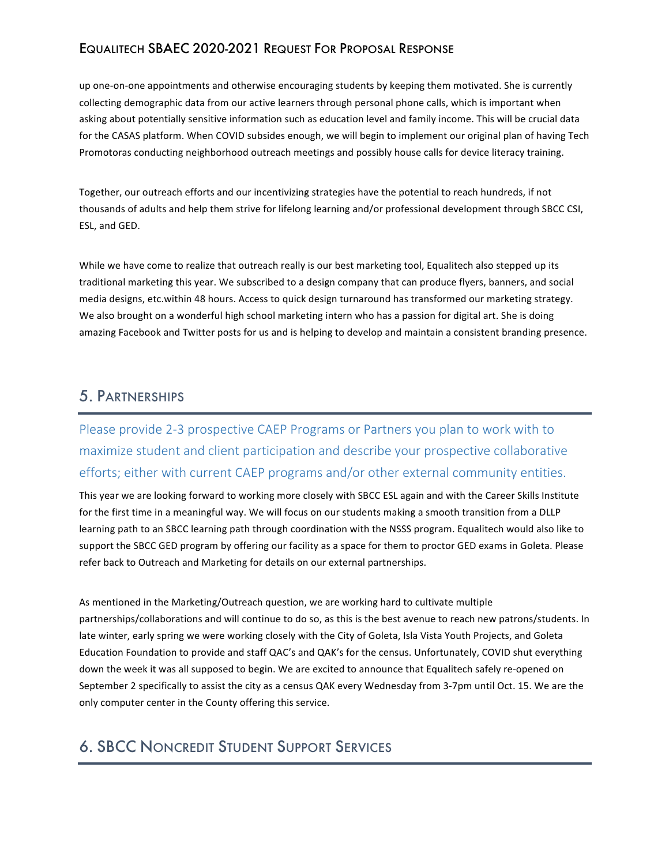up one-on-one appointments and otherwise encouraging students by keeping them motivated. She is currently collecting demographic data from our active learners through personal phone calls, which is important when asking about potentially sensitive information such as education level and family income. This will be crucial data for the CASAS platform. When COVID subsides enough, we will begin to implement our original plan of having Tech Promotoras conducting neighborhood outreach meetings and possibly house calls for device literacy training.

Together, our outreach efforts and our incentivizing strategies have the potential to reach hundreds, if not thousands of adults and help them strive for lifelong learning and/or professional development through SBCC CSI, ESL, and GED.

While we have come to realize that outreach really is our best marketing tool, Equalitech also stepped up its traditional marketing this year. We subscribed to a design company that can produce flyers, banners, and social media designs, etc.within 48 hours. Access to quick design turnaround has transformed our marketing strategy. We also brought on a wonderful high school marketing intern who has a passion for digital art. She is doing amazing Facebook and Twitter posts for us and is helping to develop and maintain a consistent branding presence.

### 5. PARTNERSHIPS

Please provide 2-3 prospective CAEP Programs or Partners you plan to work with to maximize student and client participation and describe your prospective collaborative efforts; either with current CAEP programs and/or other external community entities.

This year we are looking forward to working more closely with SBCC ESL again and with the Career Skills Institute for the first time in a meaningful way. We will focus on our students making a smooth transition from a DLLP learning path to an SBCC learning path through coordination with the NSSS program. Equalitech would also like to support the SBCC GED program by offering our facility as a space for them to proctor GED exams in Goleta. Please refer back to Outreach and Marketing for details on our external partnerships.

As mentioned in the Marketing/Outreach question, we are working hard to cultivate multiple partnerships/collaborations and will continue to do so, as this is the best avenue to reach new patrons/students. In late winter, early spring we were working closely with the City of Goleta, Isla Vista Youth Projects, and Goleta Education Foundation to provide and staff QAC's and QAK's for the census. Unfortunately, COVID shut everything down the week it was all supposed to begin. We are excited to announce that Equalitech safely re-opened on September 2 specifically to assist the city as a census QAK every Wednesday from 3-7pm until Oct. 15. We are the only computer center in the County offering this service.

# 6. SBCC NONCREDIT STUDENT SUPPORT SERVICES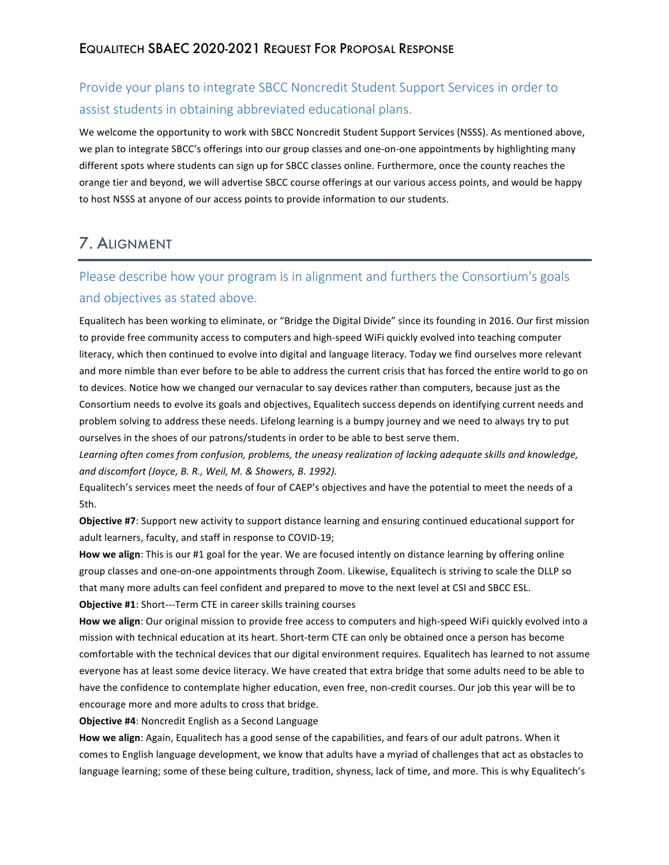# Provide your plans to integrate SBCC Noncredit Student Support Services in order to assist students in obtaining abbreviated educational plans.

We welcome the opportunity to work with SBCC Noncredit Student Support Services (NSSS). As mentioned above, we plan to integrate SBCC's offerings into our group classes and one-on-one appointments by highlighting many different spots where students can sign up for SBCC classes online. Furthermore, once the county reaches the orange tier and beyond, we will advertise SBCC course offerings at our various access points, and would be happy to host NSSS at anyone of our access points to provide information to our students.

# 7. ALIGNMENT

# Please describe how your program is in alignment and furthers the Consortium's goals and objectives as stated above.

Equalitech has been working to eliminate, or "Bridge the Digital Divide" since its founding in 2016. Our first mission to provide free community access to computers and high-speed WiFi quickly evolved into teaching computer literacy, which then continued to evolve into digital and language literacy. Today we find ourselves more relevant and more nimble than ever before to be able to address the current crisis that has forced the entire world to go on to devices. Notice how we changed our vernacular to say devices rather than computers, because just as the Consortium needs to evolve its goals and objectives, Equalitech success depends on identifying current needs and problem solving to address these needs. Lifelong learning is a bumpy journey and we need to always try to put ourselves in the shoes of our patrons/students in order to be able to best serve them.

Learning often comes from confusion, problems, the uneasy realization of lacking adequate skills and knowledge, and discomfort (Joyce, B. R., Weil, M. & Showers, B. 1992).

Equalitech's services meet the needs of four of CAEP's objectives and have the potential to meet the needs of a 5th.

**Objective #7**: Support new activity to support distance learning and ensuring continued educational support for adult learners, faculty, and staff in response to COVID-19;

How we align: This is our #1 goal for the year. We are focused intently on distance learning by offering online group classes and one-on-one appointments through Zoom. Likewise, Equalitech is striving to scale the DLLP so that many more adults can feel confident and prepared to move to the next level at CSI and SBCC ESL. **Objective #1:** Short---Term CTE in career skills training courses

How we align: Our original mission to provide free access to computers and high-speed WiFi quickly evolved into a mission with technical education at its heart. Short-term CTE can only be obtained once a person has become comfortable with the technical devices that our digital environment requires. Equalitech has learned to not assume everyone has at least some device literacy. We have created that extra bridge that some adults need to be able to have the confidence to contemplate higher education, even free, non-credit courses. Our job this year will be to encourage more and more adults to cross that bridge.

**Objective #4: Noncredit English as a Second Language** 

How we align: Again, Equalitech has a good sense of the capabilities, and fears of our adult patrons. When it comes to English language development, we know that adults have a myriad of challenges that act as obstacles to language learning; some of these being culture, tradition, shyness, lack of time, and more. This is why Equalitech's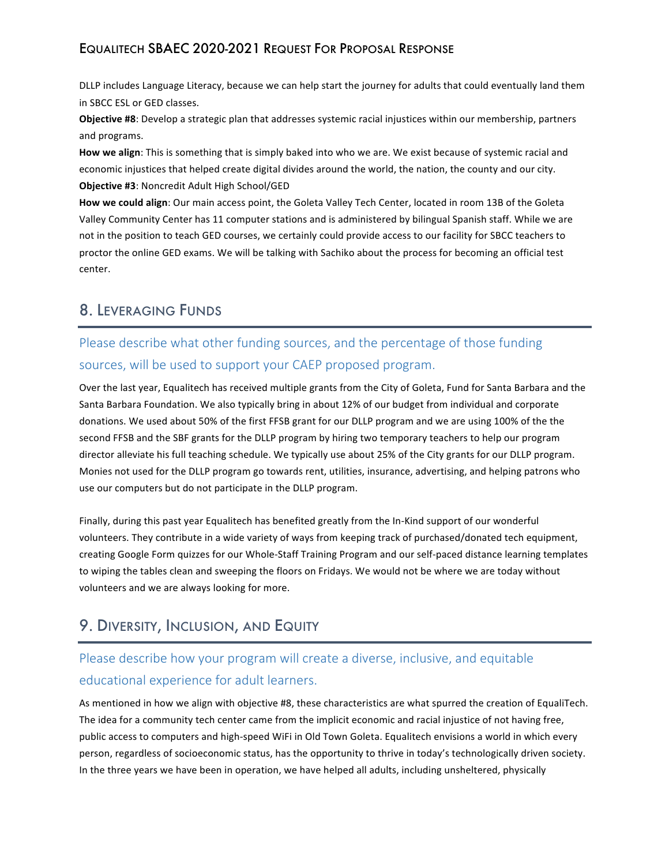DLLP includes Language Literacy, because we can help start the journey for adults that could eventually land them in SBCC ESL or GED classes.

Objective #8: Develop a strategic plan that addresses systemic racial injustices within our membership, partners and programs.

**How we align:** This is something that is simply baked into who we are. We exist because of systemic racial and economic injustices that helped create digital divides around the world, the nation, the county and our city. **Objective #3: Noncredit Adult High School/GED** 

How we could align: Our main access point, the Goleta Valley Tech Center, located in room 13B of the Goleta Valley Community Center has 11 computer stations and is administered by bilingual Spanish staff. While we are not in the position to teach GED courses, we certainly could provide access to our facility for SBCC teachers to proctor the online GED exams. We will be talking with Sachiko about the process for becoming an official test center.

# 8. LEVERAGING FUNDS

# Please describe what other funding sources, and the percentage of those funding sources, will be used to support your CAEP proposed program.

Over the last year, Equalitech has received multiple grants from the City of Goleta, Fund for Santa Barbara and the Santa Barbara Foundation. We also typically bring in about 12% of our budget from individual and corporate donations. We used about 50% of the first FFSB grant for our DLLP program and we are using 100% of the the second FFSB and the SBF grants for the DLLP program by hiring two temporary teachers to help our program director alleviate his full teaching schedule. We typically use about 25% of the City grants for our DLLP program. Monies not used for the DLLP program go towards rent, utilities, insurance, advertising, and helping patrons who use our computers but do not participate in the DLLP program.

Finally, during this past year Equalitech has benefited greatly from the In-Kind support of our wonderful volunteers. They contribute in a wide variety of ways from keeping track of purchased/donated tech equipment, creating Google Form quizzes for our Whole-Staff Training Program and our self-paced distance learning templates to wiping the tables clean and sweeping the floors on Fridays. We would not be where we are today without volunteers and we are always looking for more.

# 9. DIVERSITY, INCLUSION, AND EQUITY

# Please describe how your program will create a diverse, inclusive, and equitable educational experience for adult learners.

As mentioned in how we align with objective #8, these characteristics are what spurred the creation of EqualiTech. The idea for a community tech center came from the implicit economic and racial injustice of not having free, public access to computers and high-speed WiFi in Old Town Goleta. Equalitech envisions a world in which every person, regardless of socioeconomic status, has the opportunity to thrive in today's technologically driven society. In the three years we have been in operation, we have helped all adults, including unsheltered, physically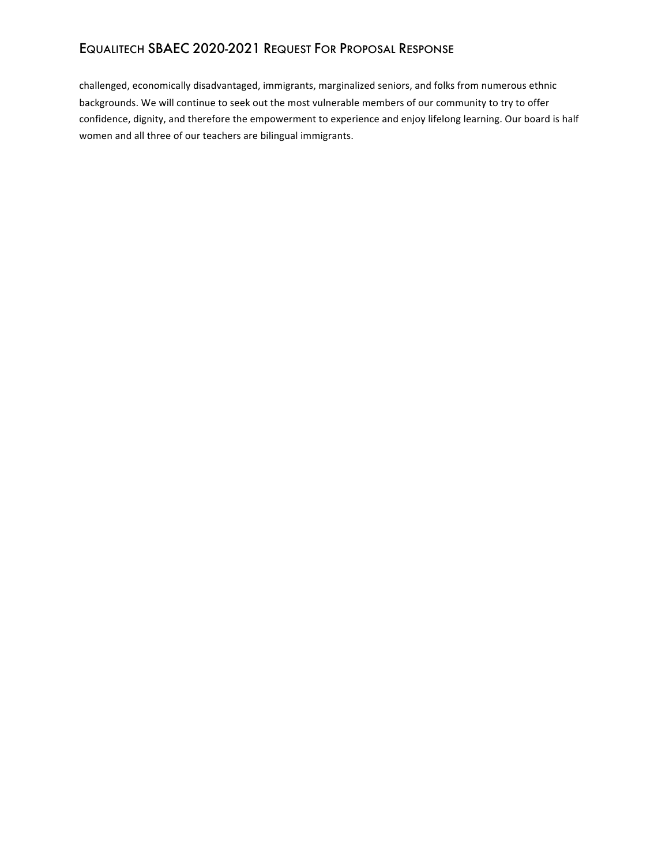challenged, economically disadvantaged, immigrants, marginalized seniors, and folks from numerous ethnic backgrounds. We will continue to seek out the most vulnerable members of our community to try to offer confidence, dignity, and therefore the empowerment to experience and enjoy lifelong learning. Our board is half women and all three of our teachers are bilingual immigrants.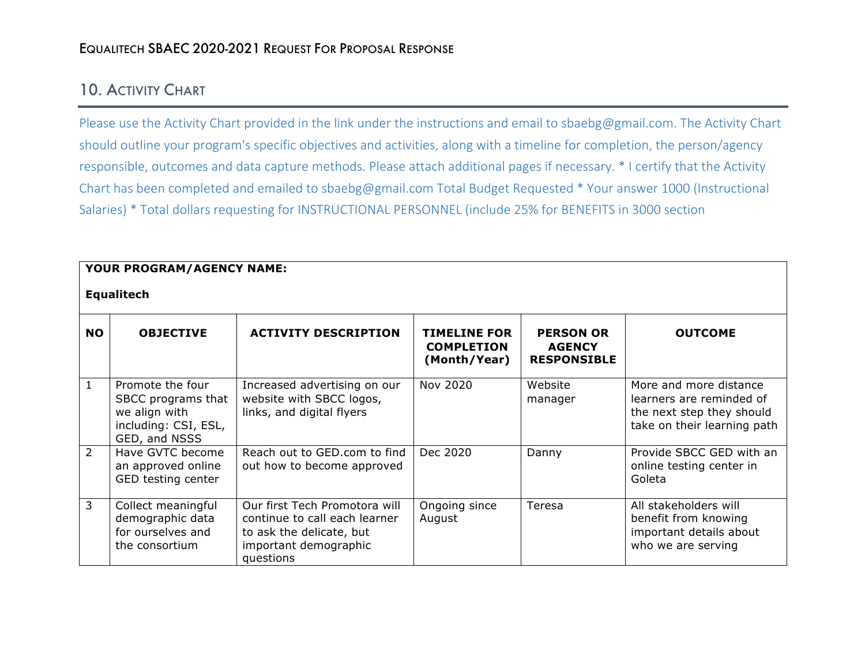# 10. ACTIVITY CHART

Please use the Activity Chart provided in the link under the instructions and email to sbaebg@gmail.com. The Activity Chart should outline your program's specific objectives and activities, along with a timeline for completion, the person/agency responsible, outcomes and data capture methods. Please attach additional pages if necessary. \* I certify that the Activity Chart has been completed and emailed to sbaebg@gmail.com Total Budget Requested \* Your answer 1000 (Instructional Salaries) \* Total dollars requesting for INSTRUCTIONAL PERSONNEL (include 25% for BENEFITS in 3000 section

|               | YOUR PROGRAM/AGENCY NAME:                                                                        |                                                                                                                                  |                                                          |                                                         |                                                                                                                |  |  |
|---------------|--------------------------------------------------------------------------------------------------|----------------------------------------------------------------------------------------------------------------------------------|----------------------------------------------------------|---------------------------------------------------------|----------------------------------------------------------------------------------------------------------------|--|--|
|               | <b>Equalitech</b>                                                                                |                                                                                                                                  |                                                          |                                                         |                                                                                                                |  |  |
| <b>NO</b>     | <b>OBJECTIVE</b>                                                                                 | <b>ACTIVITY DESCRIPTION</b>                                                                                                      | <b>TIMELINE FOR</b><br><b>COMPLETION</b><br>(Month/Year) | <b>PERSON OR</b><br><b>AGENCY</b><br><b>RESPONSIBLE</b> | <b>OUTCOME</b>                                                                                                 |  |  |
| $\mathbf{1}$  | Promote the four<br>SBCC programs that<br>we align with<br>including: CSI, ESL,<br>GED, and NSSS | Increased advertising on our<br>website with SBCC logos,<br>links, and digital flyers                                            | Nov 2020                                                 | Website<br>manager                                      | More and more distance<br>learners are reminded of<br>the next step they should<br>take on their learning path |  |  |
| $\mathcal{P}$ | Have GVTC become<br>an approved online<br>GED testing center                                     | Reach out to GED, com to find<br>out how to become approved                                                                      | Dec 2020                                                 | Danny                                                   | Provide SBCC GED with an<br>online testing center in<br>Goleta                                                 |  |  |
| 3             | Collect meaningful<br>demographic data<br>for ourselves and<br>the consortium                    | Our first Tech Promotora will<br>continue to call each learner<br>to ask the delicate, but<br>important demographic<br>questions | Ongoing since<br>August                                  | Teresa                                                  | All stakeholders will<br>benefit from knowing<br>important details about<br>who we are serving                 |  |  |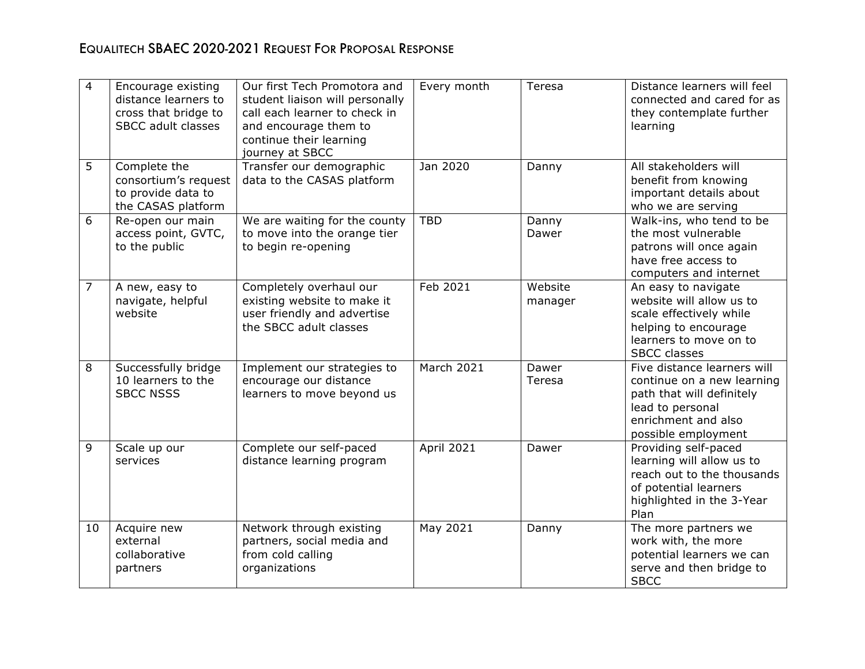| $\overline{4}$ | Encourage existing<br>distance learners to<br>cross that bridge to<br><b>SBCC adult classes</b> | Our first Tech Promotora and<br>student liaison will personally<br>call each learner to check in<br>and encourage them to<br>continue their learning<br>journey at SBCC | Every month       | Teresa             | Distance learners will feel<br>connected and cared for as<br>they contemplate further<br>learning                                                        |
|----------------|-------------------------------------------------------------------------------------------------|-------------------------------------------------------------------------------------------------------------------------------------------------------------------------|-------------------|--------------------|----------------------------------------------------------------------------------------------------------------------------------------------------------|
| 5              | Complete the<br>consortium's request<br>to provide data to<br>the CASAS platform                | Transfer our demographic<br>data to the CASAS platform                                                                                                                  | Jan 2020          | Danny              | All stakeholders will<br>benefit from knowing<br>important details about<br>who we are serving                                                           |
| 6              | Re-open our main<br>access point, GVTC,<br>to the public                                        | We are waiting for the county<br>to move into the orange tier<br>to begin re-opening                                                                                    | <b>TBD</b>        | Danny<br>Dawer     | Walk-ins, who tend to be<br>the most vulnerable<br>patrons will once again<br>have free access to<br>computers and internet                              |
| $\overline{7}$ | A new, easy to<br>navigate, helpful<br>website                                                  | Completely overhaul our<br>existing website to make it<br>user friendly and advertise<br>the SBCC adult classes                                                         | Feb 2021          | Website<br>manager | An easy to navigate<br>website will allow us to<br>scale effectively while<br>helping to encourage<br>learners to move on to<br><b>SBCC classes</b>      |
| 8              | Successfully bridge<br>10 learners to the<br><b>SBCC NSSS</b>                                   | Implement our strategies to<br>encourage our distance<br>learners to move beyond us                                                                                     | <b>March 2021</b> | Dawer<br>Teresa    | Five distance learners will<br>continue on a new learning<br>path that will definitely<br>lead to personal<br>enrichment and also<br>possible employment |
| 9              | Scale up our<br>services                                                                        | Complete our self-paced<br>distance learning program                                                                                                                    | <b>April 2021</b> | Dawer              | Providing self-paced<br>learning will allow us to<br>reach out to the thousands<br>of potential learners<br>highlighted in the 3-Year<br>Plan            |
| 10             | Acquire new<br>external<br>collaborative<br>partners                                            | Network through existing<br>partners, social media and<br>from cold calling<br>organizations                                                                            | May 2021          | Danny              | The more partners we<br>work with, the more<br>potential learners we can<br>serve and then bridge to<br><b>SBCC</b>                                      |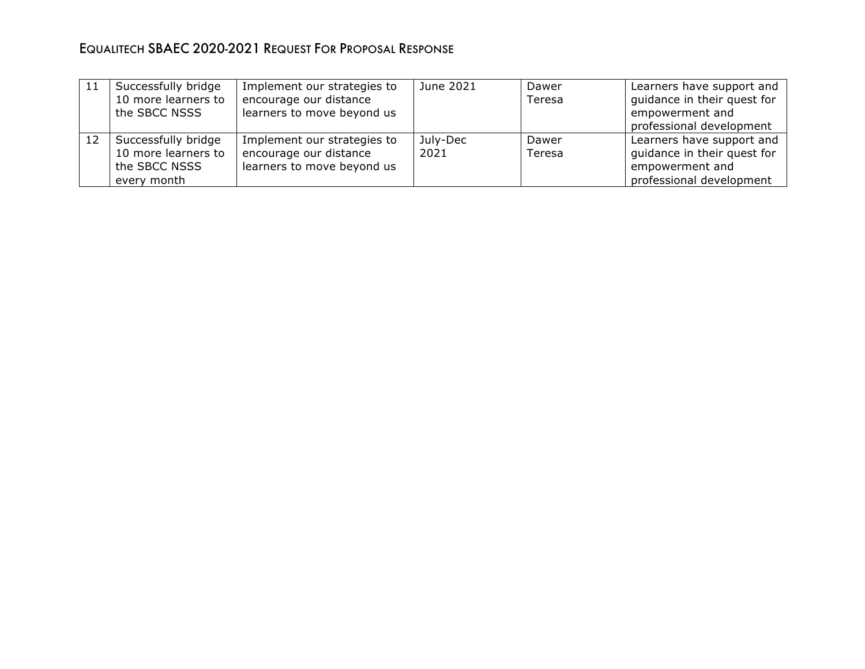| 11 | Successfully bridge<br>10 more learners to<br>the SBCC NSSS                | Implement our strategies to<br>encourage our distance<br>learners to move beyond us | June 2021        | Dawer<br>Teresa | Learners have support and<br>guidance in their quest for<br>empowerment and<br>professional development |
|----|----------------------------------------------------------------------------|-------------------------------------------------------------------------------------|------------------|-----------------|---------------------------------------------------------------------------------------------------------|
| 12 | Successfully bridge<br>10 more learners to<br>the SBCC NSSS<br>every month | Implement our strategies to<br>encourage our distance<br>learners to move beyond us | July-Dec<br>2021 | Dawer<br>Teresa | Learners have support and<br>guidance in their quest for<br>empowerment and<br>professional development |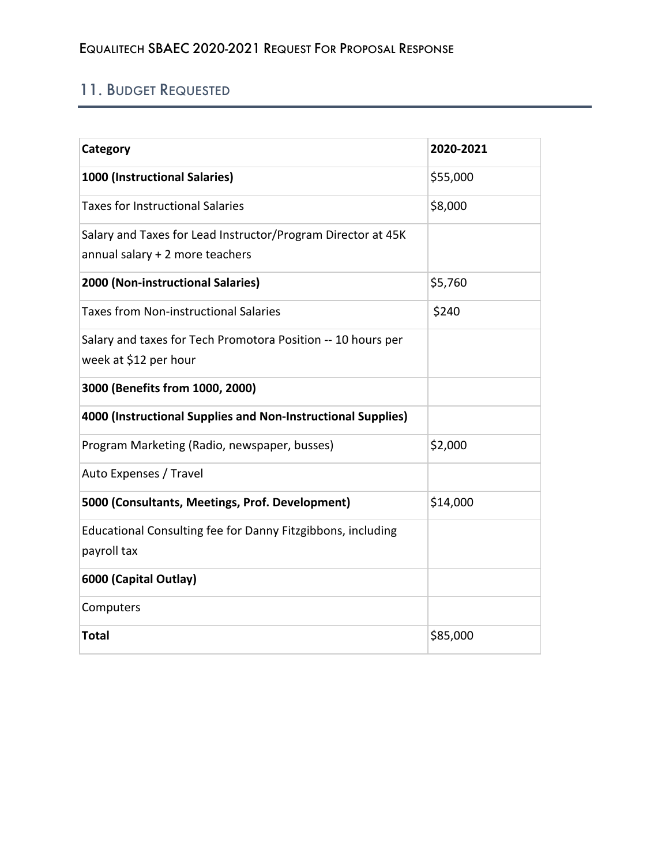# 11. BUDGET REQUESTED

| Category                                                                                        | 2020-2021 |
|-------------------------------------------------------------------------------------------------|-----------|
| 1000 (Instructional Salaries)                                                                   | \$55,000  |
| <b>Taxes for Instructional Salaries</b>                                                         | \$8,000   |
| Salary and Taxes for Lead Instructor/Program Director at 45K<br>annual salary + 2 more teachers |           |
| 2000 (Non-instructional Salaries)                                                               | \$5,760   |
| <b>Taxes from Non-instructional Salaries</b>                                                    | \$240     |
| Salary and taxes for Tech Promotora Position -- 10 hours per<br>week at \$12 per hour           |           |
| 3000 (Benefits from 1000, 2000)                                                                 |           |
| 4000 (Instructional Supplies and Non-Instructional Supplies)                                    |           |
| Program Marketing (Radio, newspaper, busses)                                                    | \$2,000   |
| Auto Expenses / Travel                                                                          |           |
| 5000 (Consultants, Meetings, Prof. Development)                                                 | \$14,000  |
| Educational Consulting fee for Danny Fitzgibbons, including<br>payroll tax                      |           |
| 6000 (Capital Outlay)                                                                           |           |
| Computers                                                                                       |           |
| <b>Total</b>                                                                                    | \$85,000  |